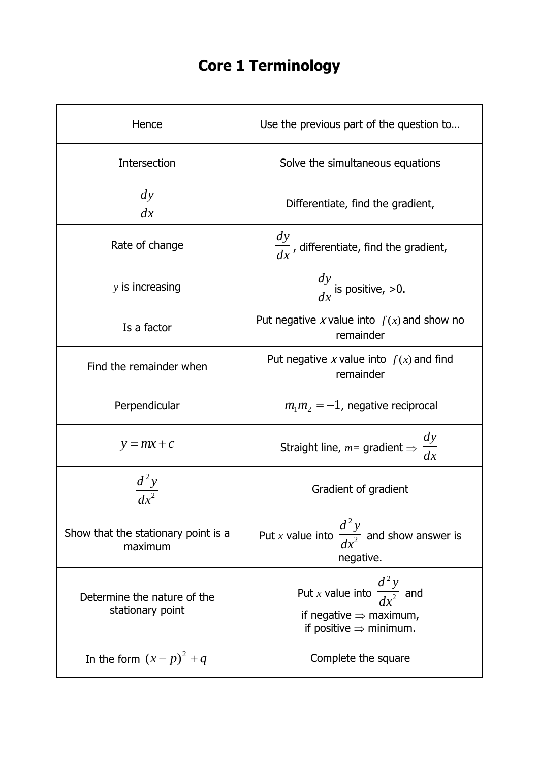## **Core 1 Terminology**

| Hence                                           | Use the previous part of the question to                                                                             |
|-------------------------------------------------|----------------------------------------------------------------------------------------------------------------------|
| Intersection                                    | Solve the simultaneous equations                                                                                     |
| $rac{dy}{dx}$                                   | Differentiate, find the gradient,                                                                                    |
| Rate of change                                  | $\frac{dy}{dx}$ , differentiate, find the gradient,                                                                  |
| $y$ is increasing                               | $\frac{dy}{dx}$ is positive, >0.                                                                                     |
| Is a factor                                     | Put negative x value into $f(x)$ and show no<br>remainder                                                            |
| Find the remainder when                         | Put negative x value into $f(x)$ and find<br>remainder                                                               |
| Perpendicular                                   | $m_1 m_2 = -1$ , negative reciprocal                                                                                 |
| $y = mx + c$                                    | $\frac{dy}{dx}$<br>Straight line, $m=$ gradient $\Rightarrow$                                                        |
|                                                 | Gradient of gradient                                                                                                 |
| Show that the stationary point is a<br>maximum  | Put <i>x</i> value into $\frac{d^2y}{dx^2}$ and show answer is<br>negative.                                          |
| Determine the nature of the<br>stationary point | Put x value into $\frac{d^2y}{dx^2}$ and<br>if negative $\Rightarrow$ maximum,<br>if positive $\Rightarrow$ minimum. |
| In the form $(x-p)^2 + q$                       | Complete the square                                                                                                  |